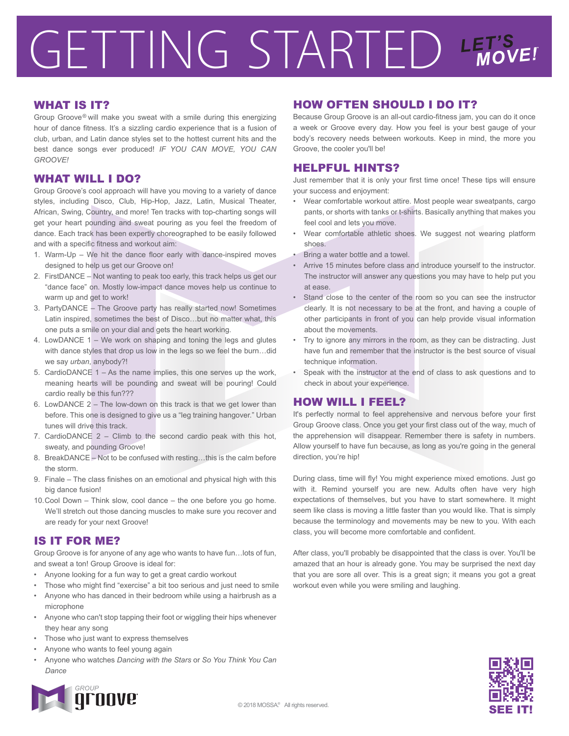# GETTING STARTED LET'S LET'S

#### WHAT IS IT?

Group Groove® will make you sweat with a smile during this energizing hour of dance fitness. It's a sizzling cardio experience that is a fusion of club, urban, and Latin dance styles set to the hottest current hits and the best dance songs ever produced! *IF YOU CAN MOVE, YOU CAN GROOVE!*

#### WHAT WILL I DO?

Group Groove's cool approach will have you moving to a variety of dance styles, including Disco, Club, Hip-Hop, Jazz, Latin, Musical Theater, African, Swing, Country, and more! Ten tracks with top-charting songs will get your heart pounding and sweat pouring as you feel the freedom of dance. Each track has been expertly choreographed to be easily followed and with a specific fitness and workout aim:

- 1. Warm-Up We hit the dance floor early with dance-inspired moves designed to help us get our Groove on!
- 2. FirstDANCE Not wanting to peak too early, this track helps us get our "dance face" on. Mostly low-impact dance moves help us continue to warm up and get to work!
- 3. PartyDANCE The Groove party has really started now! Sometimes Latin inspired, sometimes the best of Disco…but no matter what, this one puts a smile on your dial and gets the heart working.
- 4. LowDANCE 1 We work on shaping and toning the legs and glutes with dance styles that drop us low in the legs so we feel the burn…did we say *urban*, anybody?!
- 5. CardioDANCE 1 As the name implies, this one serves up the work, meaning hearts will be pounding and sweat will be pouring! Could cardio really be this fun???
- 6. LowDANCE 2 The low-down on this track is that we get lower than before. This one is designed to give us a "leg training hangover." Urban tunes will drive this track.
- 7. CardioDANCE 2 Climb to the second cardio peak with this hot, sweaty, and pounding Groove!
- 8. BreakDANCE Not to be confused with resting…this is the calm before the storm.
- 9. Finale The class finishes on an emotional and physical high with this big dance fusion!
- 10. Cool Down Think slow, cool dance the one before you go home. We'll stretch out those dancing muscles to make sure you recover and are ready for your next Groove!

#### IS IT FOR ME?

Group Groove is for anyone of any age who wants to have fun…lots of fun, and sweat a ton! Group Groove is ideal for:

- Anyone looking for a fun way to get a great cardio workout
- Those who might find "exercise" a bit too serious and just need to smile
- Anyone who has danced in their bedroom while using a hairbrush as a microphone
- Anyone who can't stop tapping their foot or wiggling their hips whenever they hear any song
- Those who just want to express themselves
- Anyone who wants to feel young again
- Anyone who watches *Dancing with the Stars* or *So You Think You Can Dance*



## HOW OFTEN SHOULD I DO IT?

Because Group Groove is an all-out cardio-fitness jam, you can do it once a week or Groove every day. How you feel is your best gauge of your body's recovery needs between workouts. Keep in mind, the more you Groove, the cooler you'll be!

#### HELPFUL HINTS?

Just remember that it is only your first time once! These tips will ensure your success and enjoyment:

- Wear comfortable workout attire. Most people wear sweatpants, cargo pants, or shorts with tanks or t-shirts. Basically anything that makes you feel cool and lets you move.
- Wear comfortable athletic shoes. We suggest not wearing platform shoes.
- Bring a water bottle and a towel.
- Arrive 15 minutes before class and introduce yourself to the instructor. The instructor will answer any questions you may have to help put you at ease.
- Stand close to the center of the room so you can see the instructor clearly. It is not necessary to be at the front, and having a couple of other participants in front of you can help provide visual information about the movements.
- Try to ignore any mirrors in the room, as they can be distracting. Just have fun and remember that the instructor is the best source of visual technique information.
- Speak with the instructor at the end of class to ask questions and to check in about your experience.

### HOW WILL I FEEL?

It's perfectly normal to feel apprehensive and nervous before your first Group Groove class. Once you get your first class out of the way, much of the apprehension will disappear. Remember there is safety in numbers. Allow yourself to have fun because, as long as you're going in the general direction, you're hip!

During class, time will fly! You might experience mixed emotions. Just go with it. Remind yourself you are new. Adults often have very high expectations of themselves, but you have to start somewhere. It might seem like class is moving a little faster than you would like. That is simply because the terminology and movements may be new to you. With each class, you will become more comfortable and confident.

After class, you'll probably be disappointed that the class is over. You'll be amazed that an hour is already gone. You may be surprised the next day that you are sore all over. This is a great sign; it means you got a great workout even while you were smiling and laughing.